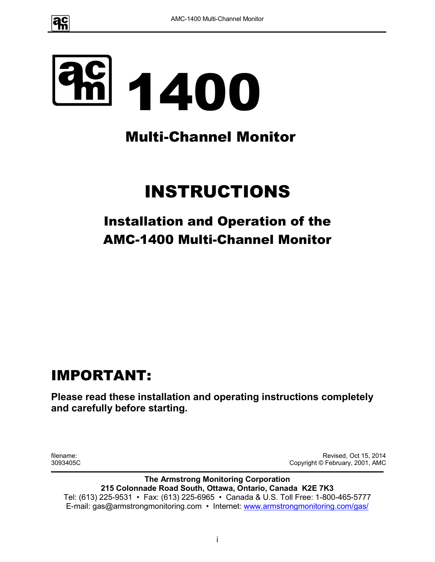

# 1400

# Multi-Channel Monitor

# INSTRUCTIONS

# Installation and Operation of the AMC-1400 Multi-Channel Monitor

# IMPORTANT:

**Please read these installation and operating instructions completely and carefully before starting.**

filename: 3093405C

Revised, Oct 15, 2014 Copyright © February, 2001, AMC

**The Armstrong Monitoring Corporation 215 Colonnade Road South, Ottawa, Ontario, Canada K2E 7K3** Tel: (613) 225-9531 • Fax: (613) 225-6965 • Canada & U.S. Toll Free: 1-800-465-5777 E-mail: gas@armstrongmonitoring.com • Internet: www.armstrongmonitoring.com/gas/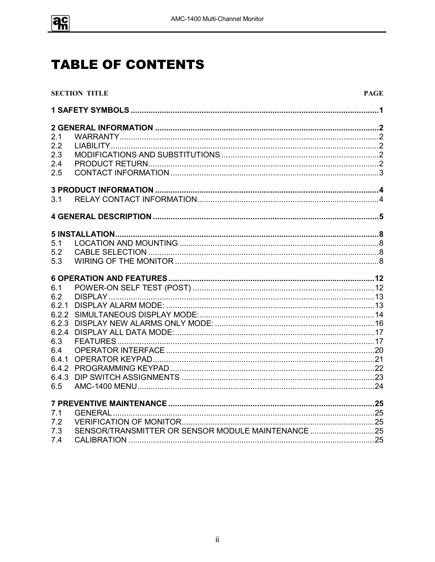

# **TABLE OF CONTENTS**

|     | <b>SECTION TITLE</b>                               | <b>PAGE</b> |
|-----|----------------------------------------------------|-------------|
|     |                                                    |             |
|     |                                                    |             |
| 2.1 |                                                    |             |
| 2.2 |                                                    |             |
| 2.3 |                                                    |             |
| 2.4 |                                                    |             |
| 2.5 |                                                    |             |
|     |                                                    |             |
| 3.1 |                                                    |             |
|     |                                                    |             |
|     |                                                    |             |
| 5.1 |                                                    |             |
| 5.2 |                                                    |             |
| 5.3 |                                                    |             |
|     |                                                    |             |
| 6.1 |                                                    |             |
| 6.2 |                                                    |             |
|     |                                                    |             |
|     |                                                    |             |
|     |                                                    |             |
|     |                                                    |             |
| 6.3 |                                                    |             |
| 6.4 |                                                    |             |
|     |                                                    |             |
|     |                                                    |             |
|     |                                                    |             |
| 6.5 |                                                    |             |
|     |                                                    |             |
| 7.1 |                                                    |             |
| 7.2 |                                                    |             |
| 7.3 | SENSOR/TRANSMITTER OR SENSOR MODULE MAINTENANCE 25 |             |
| 7.4 |                                                    |             |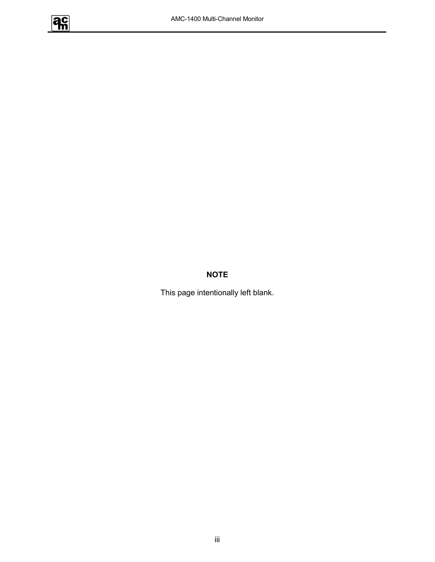

#### **NOTE**

This page intentionally left blank.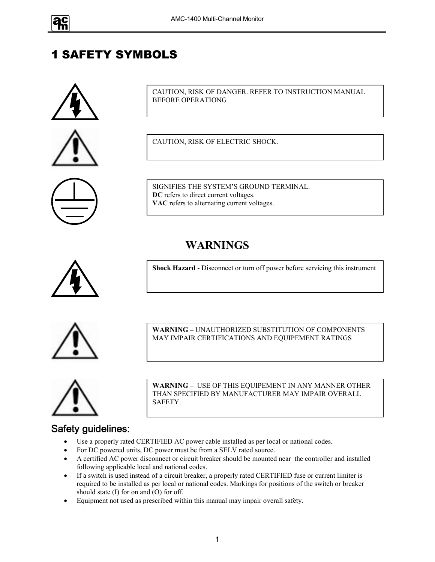

## 1 SAFETY SYMBOLS





CAUTION, RISK OF DANGER. REFER TO INSTRUCTION MANUAL BEFORE OPERATIONG

CAUTION, RISK OF ELECTRIC SHOCK.

SIGNIFIES THE SYSTEM'S GROUND TERMINAL. **DC** refers to direct current voltages. **VAC** refers to alternating current voltages.

## **WARNINGS**



**Shock Hazard** - Disconnect or turn off power before servicing this instrument



**WARNING –** UNAUTHORIZED SUBSTITUTION OF COMPONENTS MAY IMPAIR CERTIFICATIONS AND EQUIPEMENT RATINGS



**WARNING –** USE OF THIS EQUIPEMENT IN ANY MANNER OTHER THAN SPECIFIED BY MANUFACTURER MAY IMPAIR OVERALL SAFETY.

# Safety guidelines:

- Use a properly rated CERTIFIED AC power cable installed as per local or national codes.
- For DC powered units, DC power must be from a SELV rated source.
- A certified AC power disconnect or circuit breaker should be mounted near the controller and installed following applicable local and national codes.
- If a switch is used instead of a circuit breaker, a properly rated CERTIFIED fuse or current limiter is required to be installed as per local or national codes. Markings for positions of the switch or breaker should state (I) for on and (O) for off.
- Equipment not used as prescribed within this manual may impair overall safety.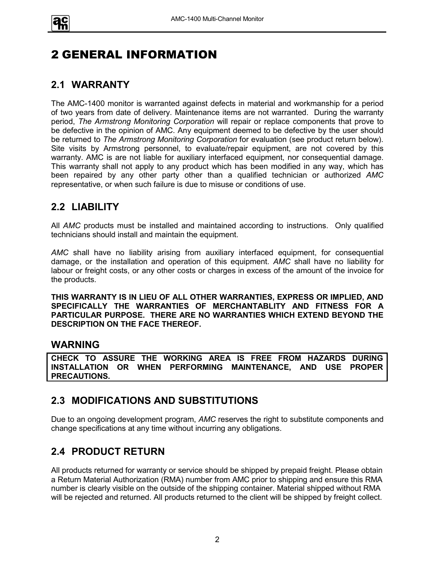

# 2 GENERAL INFORMATION

#### **2.1 WARRANTY**

The AMC-1400 monitor is warranted against defects in material and workmanship for a period of two years from date of delivery. Maintenance items are not warranted. During the warranty period, *The Armstrong Monitoring Corporation* will repair or replace components that prove to be defective in the opinion of AMC. Any equipment deemed to be defective by the user should be returned to *The Armstrong Monitoring Corporation* for evaluation (see product return below). Site visits by Armstrong personnel, to evaluate/repair equipment, are not covered by this warranty. AMC is are not liable for auxiliary interfaced equipment, nor consequential damage. This warranty shall not apply to any product which has been modified in any way, which has been repaired by any other party other than a qualified technician or authorized *AMC* representative, or when such failure is due to misuse or conditions of use.

#### **2.2 LIABILITY**

All *AMC* products must be installed and maintained according to instructions. Only qualified technicians should install and maintain the equipment.

*AMC* shall have no liability arising from auxiliary interfaced equipment, for consequential damage, or the installation and operation of this equipment. *AMC* shall have no liability for labour or freight costs, or any other costs or charges in excess of the amount of the invoice for the products.

**THIS WARRANTY IS IN LIEU OF ALL OTHER WARRANTIES, EXPRESS OR IMPLIED, AND SPECIFICALLY THE WARRANTIES OF MERCHANTABLITY AND FITNESS FOR A PARTICULAR PURPOSE. THERE ARE NO WARRANTIES WHICH EXTEND BEYOND THE DESCRIPTION ON THE FACE THEREOF.**

#### **WARNING**

**CHECK TO ASSURE THE WORKING AREA IS FREE FROM HAZARDS DURING INSTALLATION OR WHEN PERFORMING MAINTENANCE, AND USE PROPER PRECAUTIONS.**

#### **2.3 MODIFICATIONS AND SUBSTITUTIONS**

Due to an ongoing development program, *AMC* reserves the right to substitute components and change specifications at any time without incurring any obligations.

#### **2.4 PRODUCT RETURN**

All products returned for warranty or service should be shipped by prepaid freight. Please obtain a Return Material Authorization (RMA) number from AMC prior to shipping and ensure this RMA number is clearly visible on the outside of the shipping container. Material shipped without RMA will be rejected and returned. All products returned to the client will be shipped by freight collect.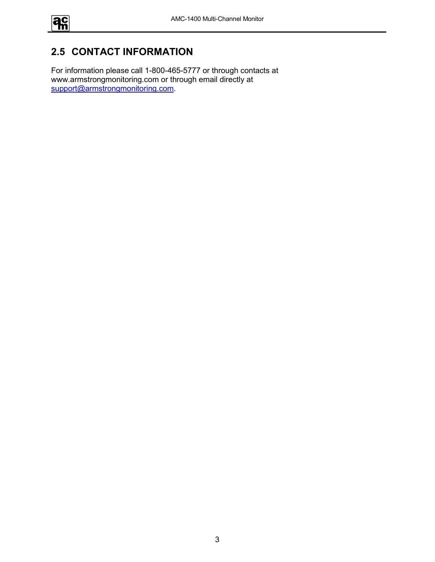

## **2.5 CONTACT INFORMATION**

For information please call 1-800-465-5777 or through contacts at www.armstrongmonitoring.com or through email directly at support@armstrongmonitoring.com.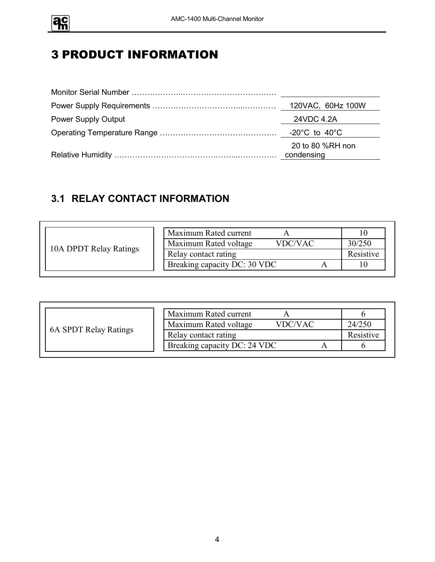

# 3 PRODUCT INFORMATION

|                            | 120VAC, 60Hz 100W                 |
|----------------------------|-----------------------------------|
| <b>Power Supply Output</b> | 24VDC 4.2A                        |
|                            | $-20^{\circ}$ C to $40^{\circ}$ C |
|                            | 20 to 80 %RH non<br>condensing    |

## **3.1 RELAY CONTACT INFORMATION**

|                        | Maximum Rated current                   |           |
|------------------------|-----------------------------------------|-----------|
|                        | Maximum Rated voltage<br><b>VDC/VAC</b> | 30/250    |
| 10A DPDT Relay Ratings | Relay contact rating                    | Resistive |
|                        | Breaking capacity DC: 30 VDC            |           |

|                       | Maximum Rated current            |           |
|-----------------------|----------------------------------|-----------|
|                       | Maximum Rated voltage<br>VDC/VAC | 24/250    |
| 6A SPDT Relay Ratings | Relay contact rating             | Resistive |
|                       | Breaking capacity DC: 24 VDC     |           |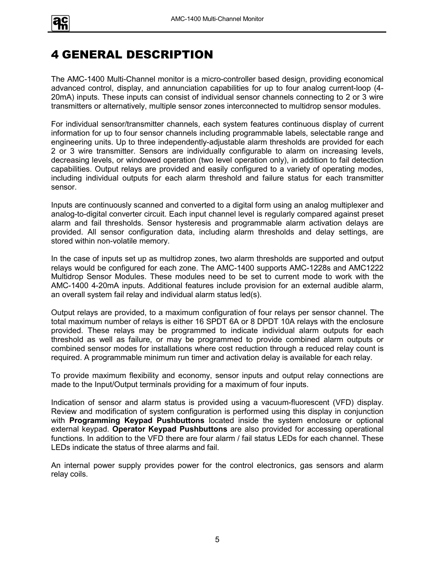

# 4 GENERAL DESCRIPTION

The AMC-1400 Multi-Channel monitor is a micro-controller based design, providing economical advanced control, display, and annunciation capabilities for up to four analog current-loop (4- 20mA) inputs. These inputs can consist of individual sensor channels connecting to 2 or 3 wire transmitters or alternatively, multiple sensor zones interconnected to multidrop sensor modules.

For individual sensor/transmitter channels, each system features continuous display of current information for up to four sensor channels including programmable labels, selectable range and engineering units. Up to three independently-adjustable alarm thresholds are provided for each 2 or 3 wire transmitter. Sensors are individually configurable to alarm on increasing levels, decreasing levels, or windowed operation (two level operation only), in addition to fail detection capabilities. Output relays are provided and easily configured to a variety of operating modes, including individual outputs for each alarm threshold and failure status for each transmitter sensor.

Inputs are continuously scanned and converted to a digital form using an analog multiplexer and analog-to-digital converter circuit. Each input channel level is regularly compared against preset alarm and fail thresholds. Sensor hysteresis and programmable alarm activation delays are provided. All sensor configuration data, including alarm thresholds and delay settings, are stored within non-volatile memory.

In the case of inputs set up as multidrop zones, two alarm thresholds are supported and output relays would be configured for each zone. The AMC-1400 supports AMC-1228s and AMC1222 Multidrop Sensor Modules. These modules need to be set to current mode to work with the AMC-1400 4-20mA inputs. Additional features include provision for an external audible alarm, an overall system fail relay and individual alarm status led(s).

Output relays are provided, to a maximum configuration of four relays per sensor channel. The total maximum number of relays is either 16 SPDT 6A or 8 DPDT 10A relays with the enclosure provided. These relays may be programmed to indicate individual alarm outputs for each threshold as well as failure, or may be programmed to provide combined alarm outputs or combined sensor modes for installations where cost reduction through a reduced relay count is required. A programmable minimum run timer and activation delay is available for each relay.

To provide maximum flexibility and economy, sensor inputs and output relay connections are made to the Input/Output terminals providing for a maximum of four inputs.

Indication of sensor and alarm status is provided using a vacuum-fluorescent (VFD) display. Review and modification of system configuration is performed using this display in conjunction with **Programming Keypad Pushbuttons** located inside the system enclosure or optional external keypad. **Operator Keypad Pushbuttons** are also provided for accessing operational functions. In addition to the VFD there are four alarm / fail status LEDs for each channel. These LEDs indicate the status of three alarms and fail.

An internal power supply provides power for the control electronics, gas sensors and alarm relay coils.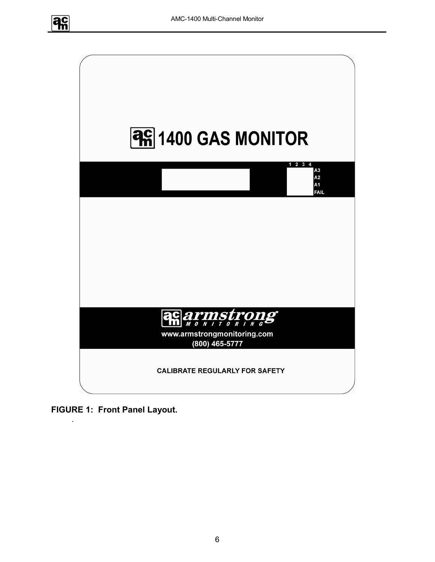



**FIGURE 1: Front Panel Layout.**

.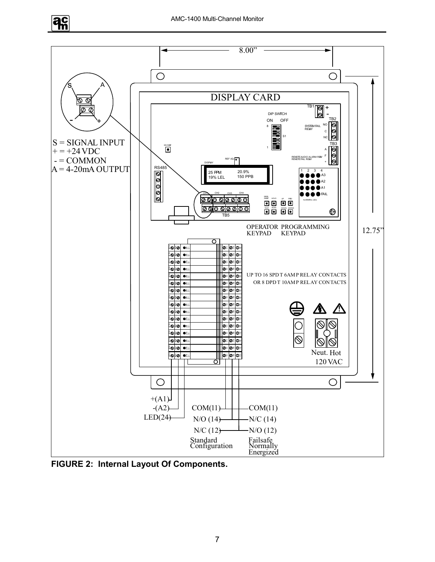



**FIGURE 2: Internal Layout Of Components.**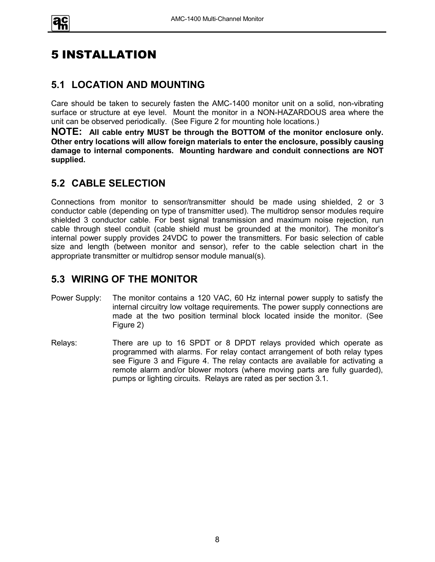

# 5 INSTALLATION

#### **5.1 LOCATION AND MOUNTING**

Care should be taken to securely fasten the AMC-1400 monitor unit on a solid, non-vibrating surface or structure at eye level. Mount the monitor in a NON-HAZARDOUS area where the unit can be observed periodically. (See Figure 2 for mounting hole locations.)

**NOTE: All cable entry MUST be through the BOTTOM of the monitor enclosure only. Other entry locations will allow foreign materials to enter the enclosure, possibly causing damage to internal components. Mounting hardware and conduit connections are NOT supplied.**

#### **5.2 CABLE SELECTION**

Connections from monitor to sensor/transmitter should be made using shielded, 2 or 3 conductor cable (depending on type of transmitter used). The multidrop sensor modules require shielded 3 conductor cable. For best signal transmission and maximum noise rejection, run cable through steel conduit (cable shield must be grounded at the monitor). The monitor's internal power supply provides 24VDC to power the transmitters. For basic selection of cable size and length (between monitor and sensor), refer to the cable selection chart in the appropriate transmitter or multidrop sensor module manual(s).

#### **5.3 WIRING OF THE MONITOR**

- Power Supply: The monitor contains a 120 VAC, 60 Hz internal power supply to satisfy the internal circuitry low voltage requirements. The power supply connections are made at the two position terminal block located inside the monitor. (See Figure 2)
- Relays: There are up to 16 SPDT or 8 DPDT relays provided which operate as programmed with alarms. For relay contact arrangement of both relay types see Figure 3 and Figure 4. The relay contacts are available for activating a remote alarm and/or blower motors (where moving parts are fully guarded), pumps or lighting circuits. Relays are rated as per section 3.1.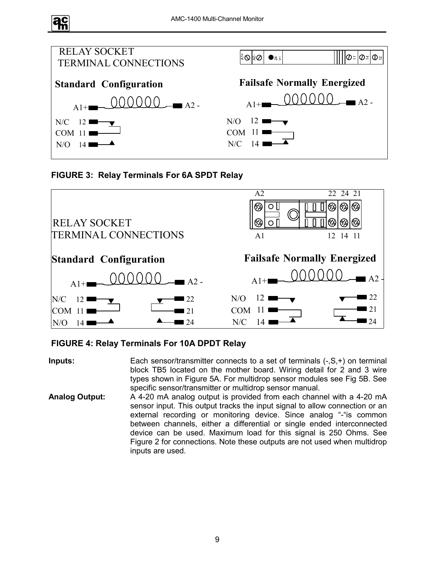





#### **FIGURE 4: Relay Terminals For 10A DPDT Relay**

**Inputs:** Each sensor/transmitter connects to a set of terminals (-,S,+) on terminal block TB5 located on the mother board. Wiring detail for 2 and 3 wire types shown in Figure 5A. For multidrop sensor modules see Fig 5B. See specific sensor/transmitter or multidrop sensor manual.

**Analog Output:** A 4-20 mA analog output is provided from each channel with a 4-20 mA sensor input. This output tracks the input signal to allow connection or an external recording or monitoring device. Since analog "-"is common between channels, either a differential or single ended interconnected device can be used. Maximum load for this signal is 250 Ohms. See Figure 2 for connections. Note these outputs are not used when multidrop inputs are used.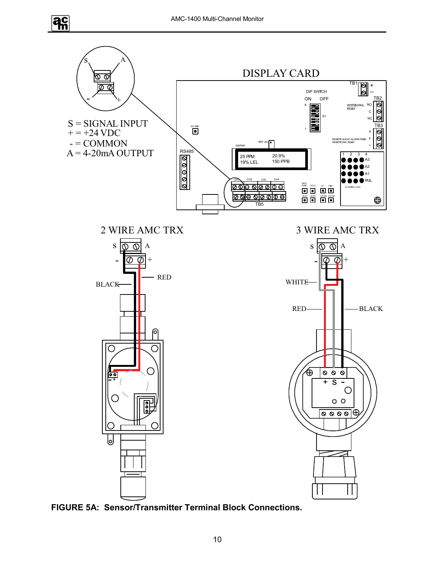$\overline{a}$ 



**FIGURE 5A: Sensor/Transmitter Terminal Block Connections.**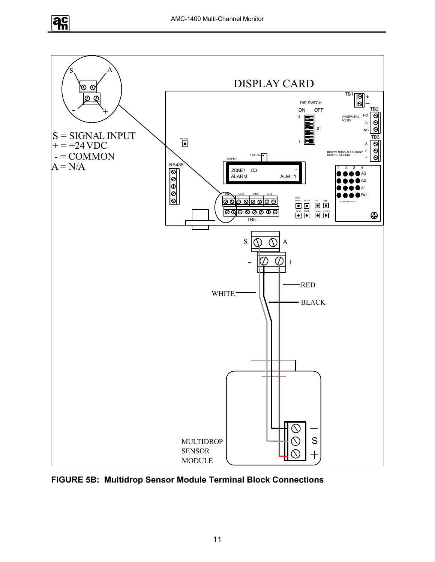



**FIGURE 5B: Multidrop Sensor Module Terminal Block Connections**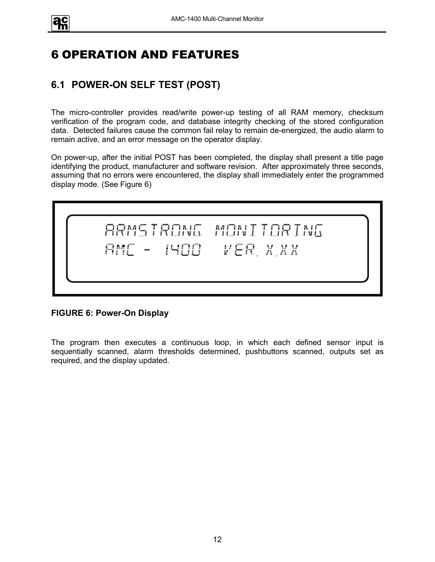

# 6 OPERATION AND FEATURES

## **6.1 POWER-ON SELF TEST (POST)**

The micro-controller provides read/write power-up testing of all RAM memory, checksum verification of the program code, and database integrity checking of the stored configuration data. Detected failures cause the common fail relay to remain de-energized, the audio alarm to remain active, and an error message on the operator display.

On power-up, after the initial POST has been completed, the display shall present a title page identifying the product, manufacturer and software revision. After approximately three seconds, assuming that no errors were encountered, the display shall immediately enter the programmed display mode. (See Figure 6)

RMSTRONG MONITORING 1400 VER X.XX

**FIGURE 6: Power-On Display**

The program then executes a continuous loop, in which each defined sensor input is sequentially scanned, alarm thresholds determined, pushbuttons scanned, outputs set as required, and the display updated.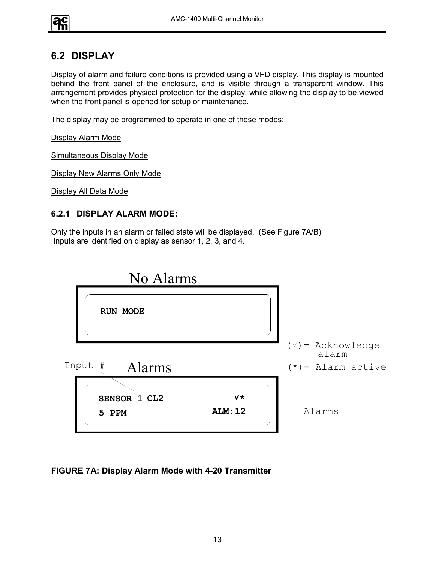#### **6.2 DISPLAY**

Display of alarm and failure conditions is provided using a VFD display. This display is mounted behind the front panel of the enclosure, and is visible through a transparent window. This arrangement provides physical protection for the display, while allowing the display to be viewed when the front panel is opened for setup or maintenance.

The display may be programmed to operate in one of these modes:

Display Alarm Mode

Simultaneous Display Mode

Display New Alarms Only Mode

Display All Data Mode

#### **6.2.1 DISPLAY ALARM MODE:**

Only the inputs in an alarm or failed state will be displayed. (See Figure 7A/B) Inputs are identified on display as sensor 1, 2, 3, and 4.



**FIGURE 7A: Display Alarm Mode with 4-20 Transmitter**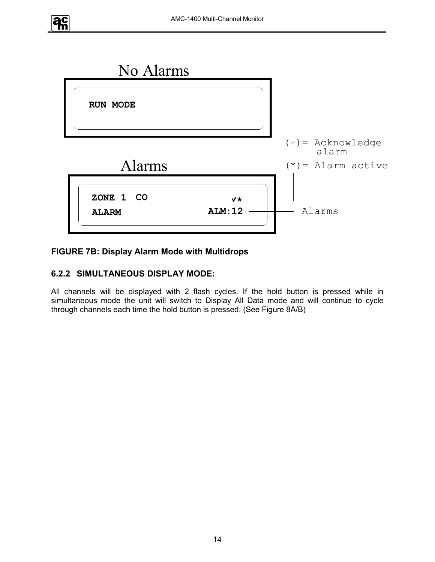



#### **FIGURE 7B: Display Alarm Mode with Multidrops**

#### **6.2.2 SIMULTANEOUS DISPLAY MODE:**

All channels will be displayed with 2 flash cycles. If the hold button is pressed while in simultaneous mode the unit will switch to Display All Data mode and will continue to cycle through channels each time the hold button is pressed. (See Figure 8A/B)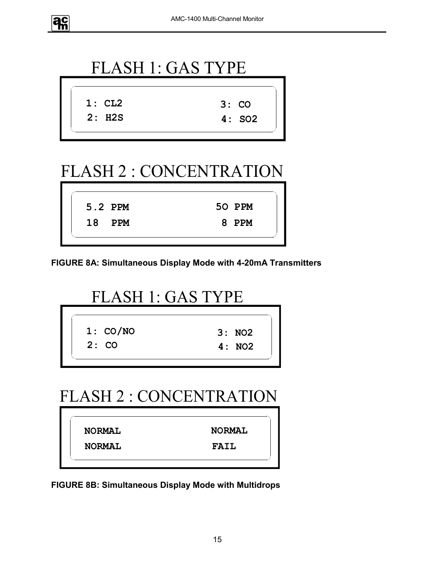



# FLASH 2 : CONCENTRATION

|  | 5.2 PPM | 50 PPM |
|--|---------|--------|
|  | 18 PPM  | 8 PPM  |
|  |         |        |

**FIGURE 8A: Simultaneous Display Mode with 4-20mA Transmitters**

# FLASH 1: GAS TYPE

| 1: CO/NO | 3:NO2 |
|----------|-------|
| 2:CO     | 4:NO2 |

# FLASH 2 : CONCENTRATION

**NORMAL NORMAL NORMAL FAIL**

**FIGURE 8B: Simultaneous Display Mode with Multidrops**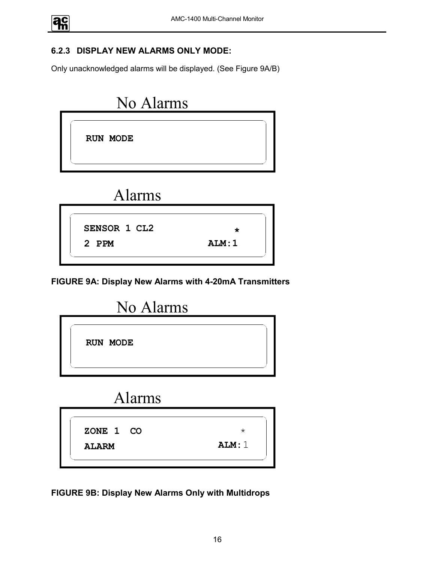#### **6.2.3 DISPLAY NEW ALARMS ONLY MODE:**

Only unacknowledged alarms will be displayed. (See Figure 9A/B)



# Alarms



**FIGURE 9A: Display New Alarms with 4-20mA Transmitters**



# Alarms

**ZONE 1 ALARM CO**

**FIGURE 9B: Display New Alarms Only with Multidrops**

**ALM:**1

\*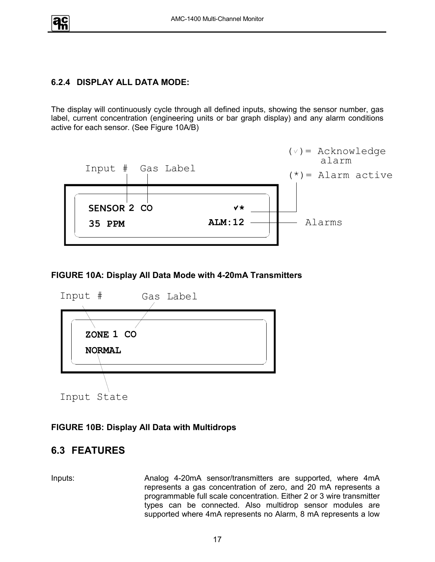#### **6.2.4 DISPLAY ALL DATA MODE:**

The display will continuously cycle through all defined inputs, showing the sensor number, gas label, current concentration (engineering units or bar graph display) and any alarm conditions active for each sensor. (See Figure 10A/B)



#### **FIGURE 10A: Display All Data Mode with 4-20mA Transmitters**



#### **FIGURE 10B: Display All Data with Multidrops**

#### **6.3 FEATURES**

Inputs: Analog 4-20mA sensor/transmitters are supported, where 4mA represents a gas concentration of zero, and 20 mA represents a programmable full scale concentration. Either 2 or 3 wire transmitter types can be connected. Also multidrop sensor modules are supported where 4mA represents no Alarm, 8 mA represents a low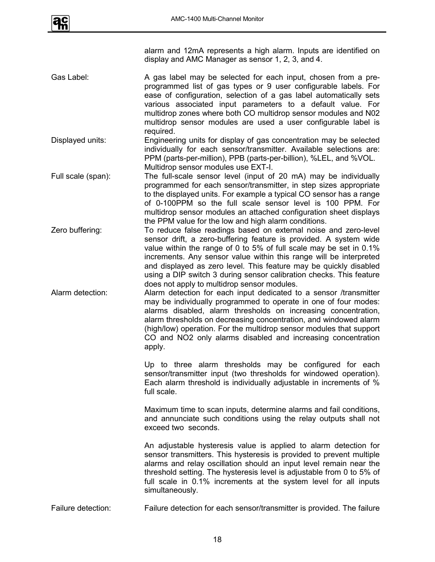

alarm and 12mA represents a high alarm. Inputs are identified on display and AMC Manager as sensor 1, 2, 3, and 4.

Gas Label: A gas label may be selected for each input, chosen from a preprogrammed list of gas types or 9 user configurable labels. For ease of configuration, selection of a gas label automatically sets various associated input parameters to a default value. For multidrop zones where both CO multidrop sensor modules and N02 multidrop sensor modules are used a user configurable label is required.

Displayed units: Engineering units for display of gas concentration may be selected individually for each sensor/transmitter. Available selections are: PPM (parts-per-million), PPB (parts-per-billion), %LEL, and %VOL. Multidrop sensor modules use EXT-I.

- Full scale (span): The full-scale sensor level (input of 20 mA) may be individually programmed for each sensor/transmitter, in step sizes appropriate to the displayed units. For example a typical CO sensor has a range of 0-100PPM so the full scale sensor level is 100 PPM. For multidrop sensor modules an attached configuration sheet displays the PPM value for the low and high alarm conditions.
- Zero buffering: To reduce false readings based on external noise and zero-level sensor drift, a zero-buffering feature is provided. A system wide value within the range of 0 to 5% of full scale may be set in 0.1% increments. Any sensor value within this range will be interpreted and displayed as zero level. This feature may be quickly disabled using a DIP switch 3 during sensor calibration checks. This feature does not apply to multidrop sensor modules.
- Alarm detection: Alarm detection for each input dedicated to a sensor /transmitter may be individually programmed to operate in one of four modes: alarms disabled, alarm thresholds on increasing concentration, alarm thresholds on decreasing concentration, and windowed alarm (high/low) operation. For the multidrop sensor modules that support CO and NO2 only alarms disabled and increasing concentration apply.

Up to three alarm thresholds may be configured for each sensor/transmitter input (two thresholds for windowed operation). Each alarm threshold is individually adjustable in increments of % full scale.

Maximum time to scan inputs, determine alarms and fail conditions, and annunciate such conditions using the relay outputs shall not exceed two seconds.

An adjustable hysteresis value is applied to alarm detection for sensor transmitters. This hysteresis is provided to prevent multiple alarms and relay oscillation should an input level remain near the threshold setting. The hysteresis level is adjustable from 0 to 5% of full scale in 0.1% increments at the system level for all inputs simultaneously.

Failure detection: Failure detection for each sensor/transmitter is provided. The failure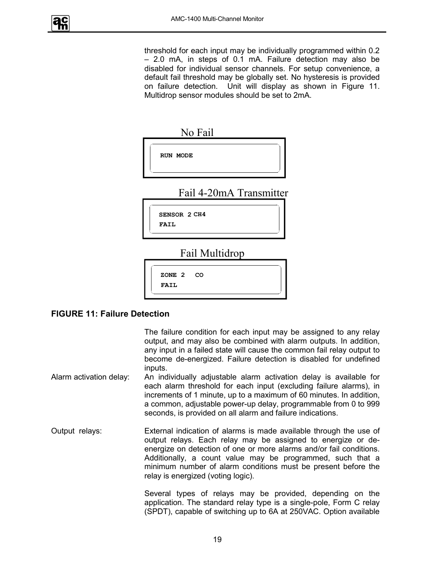

threshold for each input may be individually programmed within 0.2 – 2.0 mA, in steps of 0.1 mA. Failure detection may also be disabled for individual sensor channels. For setup convenience, a default fail threshold may be globally set. No hysteresis is provided on failure detection. Unit will display as shown in Figure 11. Multidrop sensor modules should be set to 2mA.

|       | No Fail                 |
|-------|-------------------------|
|       | <b>RUN MODE</b>         |
|       | Fail 4-20mA Transmitter |
| FATT. | <b>SENSOR 2 CH4</b>     |

Fail Multidrop



#### **FIGURE 11: Failure Detection**

The failure condition for each input may be assigned to any relay output, and may also be combined with alarm outputs. In addition, any input in a failed state will cause the common fail relay output to become de-energized. Failure detection is disabled for undefined inputs.

- Alarm activation delay: An individually adjustable alarm activation delay is available for each alarm threshold for each input (excluding failure alarms), in increments of 1 minute, up to a maximum of 60 minutes. In addition, a common, adjustable power-up delay, programmable from 0 to 999 seconds, is provided on all alarm and failure indications.
- Output relays: External indication of alarms is made available through the use of output relays. Each relay may be assigned to energize or deenergize on detection of one or more alarms and/or fail conditions. Additionally, a count value may be programmed, such that a minimum number of alarm conditions must be present before the relay is energized (voting logic).

Several types of relays may be provided, depending on the application. The standard relay type is a single-pole, Form C relay (SPDT), capable of switching up to 6A at 250VAC. Option available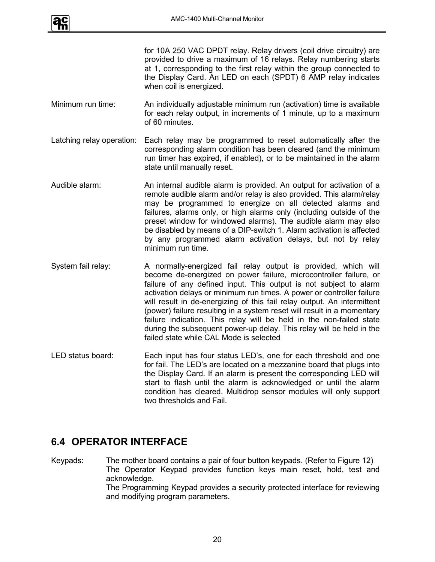

for 10A 250 VAC DPDT relay. Relay drivers (coil drive circuitry) are provided to drive a maximum of 16 relays. Relay numbering starts at 1, corresponding to the first relay within the group connected to the Display Card. An LED on each (SPDT) 6 AMP relay indicates when coil is energized.

- Minimum run time: An individually adjustable minimum run (activation) time is available for each relay output, in increments of 1 minute, up to a maximum of 60 minutes.
- Latching relay operation: Each relay may be programmed to reset automatically after the corresponding alarm condition has been cleared (and the minimum run timer has expired, if enabled), or to be maintained in the alarm state until manually reset.
- Audible alarm: An internal audible alarm is provided. An output for activation of a remote audible alarm and/or relay is also provided. This alarm/relay may be programmed to energize on all detected alarms and failures, alarms only, or high alarms only (including outside of the preset window for windowed alarms). The audible alarm may also be disabled by means of a DIP-switch 1. Alarm activation is affected by any programmed alarm activation delays, but not by relay minimum run time.
- System fail relay: A normally-energized fail relay output is provided, which will become de-energized on power failure, microcontroller failure, or failure of any defined input. This output is not subject to alarm activation delays or minimum run times. A power or controller failure will result in de-energizing of this fail relay output. An intermittent (power) failure resulting in a system reset will result in a momentary failure indication. This relay will be held in the non-failed state during the subsequent power-up delay. This relay will be held in the failed state while CAL Mode is selected
- LED status board: Each input has four status LED's, one for each threshold and one for fail. The LED's are located on a mezzanine board that plugs into the Display Card. If an alarm is present the corresponding LED will start to flash until the alarm is acknowledged or until the alarm condition has cleared. Multidrop sensor modules will only support two thresholds and Fail.

#### **6.4 OPERATOR INTERFACE**

Keypads: The mother board contains a pair of four button keypads. (Refer to Figure 12) The Operator Keypad provides function keys main reset, hold, test and acknowledge. The Programming Keypad provides a security protected interface for reviewing and modifying program parameters.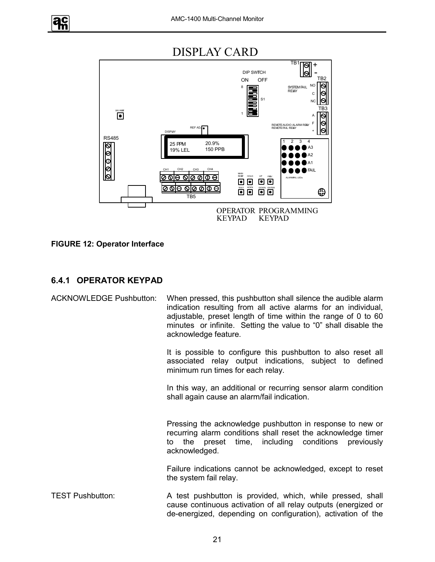

 $\overline{TB1}$ 

+

ा



#### **FIGURE 12: Operator Interface**

**ac** 

#### **6.4.1 OPERATOR KEYPAD**

| <b>ACKNOWLEDGE Pushbutton:</b> | When pressed, this pushbutton shall silence the audible alarm<br>indication resulting from all active alarms for an individual,<br>adjustable, preset length of time within the range of 0 to 60<br>minutes or infinite. Setting the value to "0" shall disable the<br>acknowledge feature. |
|--------------------------------|---------------------------------------------------------------------------------------------------------------------------------------------------------------------------------------------------------------------------------------------------------------------------------------------|
|                                | It is possible to configure this pushbutton to also reset all<br>associated relay output indications, subject to defined<br>minimum run times for each relay.                                                                                                                               |
|                                | In this way, an additional or recurring sensor alarm condition<br>shall again cause an alarm/fail indication.                                                                                                                                                                               |
|                                | Pressing the acknowledge pushbutton in response to new or<br>recurring alarm conditions shall reset the acknowledge timer<br>preset time, including conditions previously<br>the<br>to<br>acknowledged.                                                                                     |
|                                | Failure indications cannot be acknowledged, except to reset<br>the system fail relay.                                                                                                                                                                                                       |
| <b>TEST Pushbutton:</b>        | A test pushbutton is provided, which, while pressed, shall<br>cause continuous activation of all relay outputs (energized or<br>de-energized, depending on configuration), activation of the                                                                                                |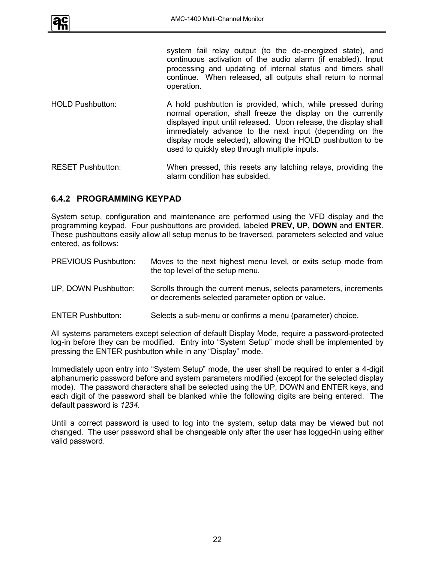

system fail relay output (to the de-energized state), and continuous activation of the audio alarm (if enabled). Input processing and updating of internal status and timers shall continue. When released, all outputs shall return to normal operation.

- HOLD Pushbutton: A hold pushbutton is provided, which, while pressed during normal operation, shall freeze the display on the currently displayed input until released. Upon release, the display shall immediately advance to the next input (depending on the display mode selected), allowing the HOLD pushbutton to be used to quickly step through multiple inputs.
- RESET Pushbutton: When pressed, this resets any latching relays, providing the alarm condition has subsided.

#### **6.4.2 PROGRAMMING KEYPAD**

System setup, configuration and maintenance are performed using the VFD display and the programming keypad. Four pushbuttons are provided, labeled **PREV, UP, DOWN** and **ENTER**. These pushbuttons easily allow all setup menus to be traversed, parameters selected and value entered, as follows:

| <b>PREVIOUS Pushbutton:</b> | Moves to the next highest menu level, or exits setup mode from<br>the top level of the setup menu.                     |
|-----------------------------|------------------------------------------------------------------------------------------------------------------------|
| UP, DOWN Pushbutton:        | Scrolls through the current menus, selects parameters, increments<br>or decrements selected parameter option or value. |
| <b>ENTER Pushbutton:</b>    | Selects a sub-menu or confirms a menu (parameter) choice.                                                              |

All systems parameters except selection of default Display Mode, require a password-protected log-in before they can be modified. Entry into "System Setup" mode shall be implemented by pressing the ENTER pushbutton while in any "Display" mode.

Immediately upon entry into "System Setup" mode, the user shall be required to enter a 4-digit alphanumeric password before and system parameters modified (except for the selected display mode). The password characters shall be selected using the UP, DOWN and ENTER keys, and each digit of the password shall be blanked while the following digits are being entered. The default password is *1234*.

Until a correct password is used to log into the system, setup data may be viewed but not changed. The user password shall be changeable only after the user has logged-in using either valid password.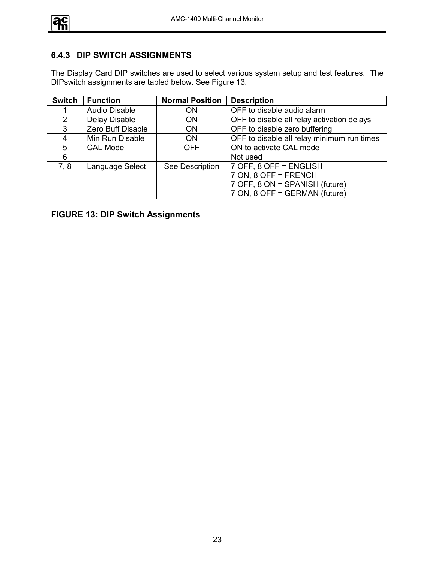

#### **6.4.3 DIP SWITCH ASSIGNMENTS**

The Display Card DIP switches are used to select various system setup and test features. The DIPswitch assignments are tabled below. See Figure 13.

| <b>Switch</b> | <b>Function</b>      | <b>Normal Position</b> | <b>Description</b>                         |
|---------------|----------------------|------------------------|--------------------------------------------|
|               | <b>Audio Disable</b> | 0N                     | OFF to disable audio alarm                 |
| $\mathcal{P}$ | Delay Disable        | ON                     | OFF to disable all relay activation delays |
| 3             | Zero Buff Disable    | ON.                    | OFF to disable zero buffering              |
| 4             | Min Run Disable      | <b>ON</b>              | OFF to disable all relay minimum run times |
| 5             | <b>CAL Mode</b>      | <b>OFF</b>             | ON to activate CAL mode                    |
| 6             |                      |                        | Not used                                   |
| 7.8           | Language Select      | See Description        | 7 OFF, 8 OFF = ENGLISH                     |
|               |                      |                        | 7 ON, 8 OFF = FRENCH                       |
|               |                      |                        | 7 OFF, 8 ON = SPANISH (future)             |
|               |                      |                        | 7 ON, 8 OFF = GERMAN (future)              |

**FIGURE 13: DIP Switch Assignments**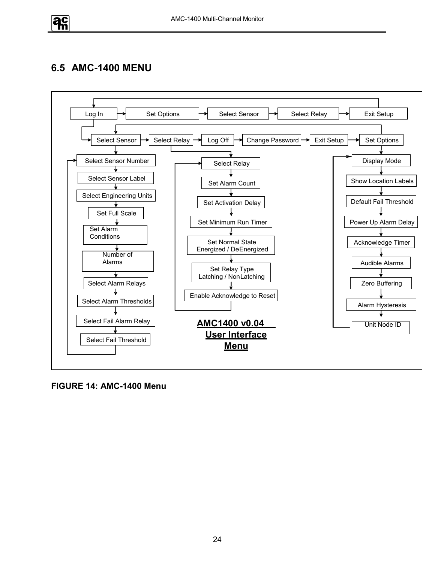

## **6.5 AMC-1400 MENU**



**FIGURE 14: AMC-1400 Menu**